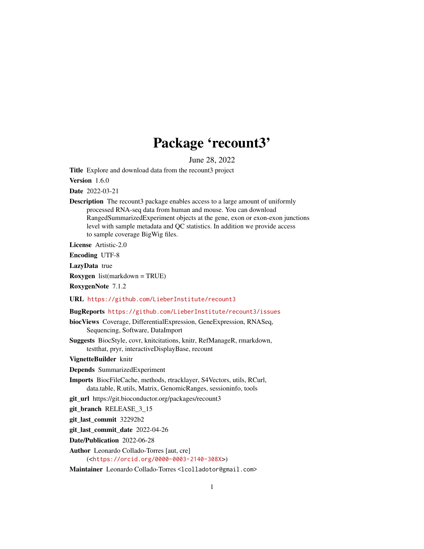# Package 'recount3'

June 28, 2022

<span id="page-0-0"></span>Title Explore and download data from the recount3 project

Version 1.6.0

Date 2022-03-21

Description The recount3 package enables access to a large amount of uniformly processed RNA-seq data from human and mouse. You can download RangedSummarizedExperiment objects at the gene, exon or exon-exon junctions level with sample metadata and QC statistics. In addition we provide access to sample coverage BigWig files.

License Artistic-2.0

Encoding UTF-8

LazyData true

Roxygen list(markdown = TRUE)

RoxygenNote 7.1.2

URL <https://github.com/LieberInstitute/recount3>

#### BugReports <https://github.com/LieberInstitute/recount3/issues>

biocViews Coverage, DifferentialExpression, GeneExpression, RNASeq, Sequencing, Software, DataImport

Suggests BiocStyle, covr, knitcitations, knitr, RefManageR, rmarkdown, testthat, pryr, interactiveDisplayBase, recount

VignetteBuilder knitr

Depends SummarizedExperiment

Imports BiocFileCache, methods, rtracklayer, S4Vectors, utils, RCurl, data.table, R.utils, Matrix, GenomicRanges, sessioninfo, tools

git\_url https://git.bioconductor.org/packages/recount3

git\_branch RELEASE\_3\_15

git\_last\_commit 32292b2

git last commit date 2022-04-26

Date/Publication 2022-06-28

Author Leonardo Collado-Torres [aut, cre] (<<https://orcid.org/0000-0003-2140-308X>>)

Maintainer Leonardo Collado-Torres <lcolladotor@gmail.com>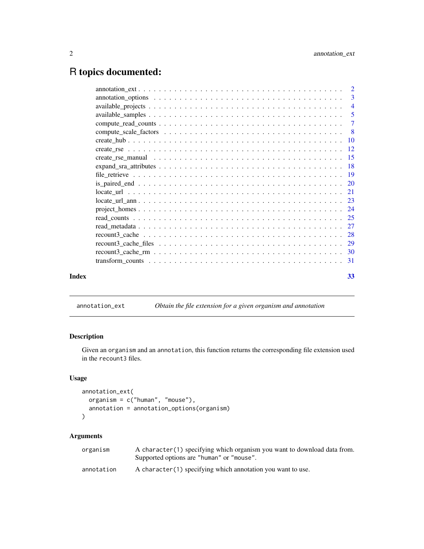## <span id="page-1-0"></span>R topics documented:

|       | 3              |
|-------|----------------|
|       | $\overline{4}$ |
|       | $\overline{5}$ |
|       | $\tau$         |
|       | - 8            |
|       |                |
|       |                |
|       |                |
|       |                |
|       |                |
|       |                |
|       |                |
|       |                |
|       |                |
|       |                |
|       |                |
|       |                |
|       |                |
|       |                |
|       |                |
| Index | 33             |
|       |                |

## <span id="page-1-1"></span>annotation\_ext *Obtain the file extension for a given organism and annotation*

## Description

Given an organism and an annotation, this function returns the corresponding file extension used in the recount3 files.

## Usage

```
annotation_ext(
  organism = c("human", "mouse"),
  annotation = annotation_options(organism)
\mathcal{L}
```
## Arguments

| organism   | A character (1) specifying which organism you want to download data from.<br>Supported options are "human" or "mouse". |
|------------|------------------------------------------------------------------------------------------------------------------------|
| annotation | A character (1) specifying which annotation you want to use.                                                           |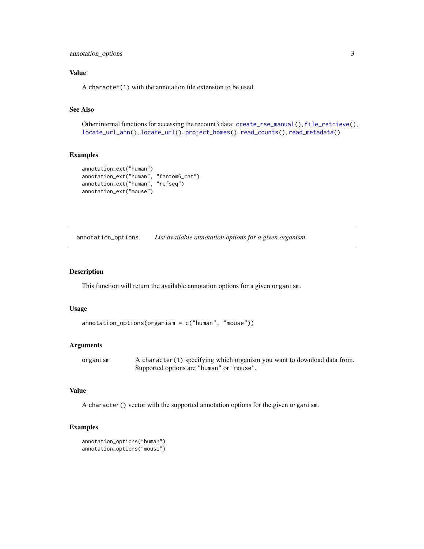## <span id="page-2-0"></span>Value

A character(1) with the annotation file extension to be used.

## See Also

Other internal functions for accessing the recount3 data: [create\\_rse\\_manual\(](#page-14-1)), [file\\_retrieve\(](#page-18-1)), [locate\\_url\\_ann\(](#page-22-1)), [locate\\_url\(](#page-20-1)), [project\\_homes\(](#page-23-1)), [read\\_counts\(](#page-24-1)), [read\\_metadata\(](#page-26-1))

#### Examples

```
annotation_ext("human")
annotation_ext("human", "fantom6_cat")
annotation_ext("human", "refseq")
annotation_ext("mouse")
```
annotation\_options *List available annotation options for a given organism*

## Description

This function will return the available annotation options for a given organism.

#### Usage

```
\text{annotation\_options}(\text{organism} = c("human", "mouse"))
```
#### Arguments

organism A character(1) specifying which organism you want to download data from. Supported options are "human" or "mouse".

## Value

A character() vector with the supported annotation options for the given organism.

```
annotation_options("human")
annotation_options("mouse")
```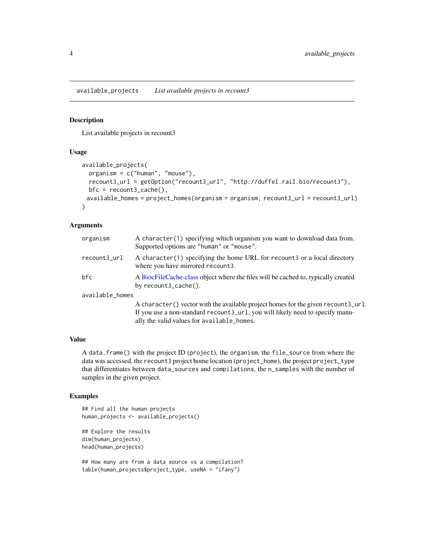<span id="page-3-0"></span>available\_projects *List available projects in recount3*

#### Description

List available projects in recount3

#### Usage

```
available_projects(
  organism = c("human", "mouse"),
  recount3_url = getOption("recount3_url", "http://duffel.rail.bio/recount3"),
 bfc = recount3_cache(),
 available_homes = project_homes(organism = organism, recount3_url = recount3_url)
)
```
## Arguments

| organism        | A character (1) specifying which organism you want to download data from.<br>Supported options are "human" or "mouse".                                               |
|-----------------|----------------------------------------------------------------------------------------------------------------------------------------------------------------------|
| recount3_url    | A character(1) specifying the home URL for recount 3 or a local directory<br>where you have mirrored recount3.                                                       |
| bfc             | A BiocFileCache-class object where the files will be cached to, typically created<br>by recount3_cache().                                                            |
| available_homes |                                                                                                                                                                      |
|                 | A character () vector with the available project homes for the given recount3_url.<br>If you use a non-standard recount 3_url, you will likely need to specify manu- |

#### Value

A data.frame() with the project ID (project), the organism, the file\_source from where the data was accessed, the recount3 project home location (project\_home), the project project\_type that differentiates between data\_sources and compilations, the n\_samples with the number of samples in the given project.

ally the valid values for available\_homes.

## Examples

```
## Find all the human projects
human_projects <- available_projects()
## Explore the results
dim(human_projects)
```
head(human\_projects)

```
## How many are from a data source vs a compilation?
table(human_projects$project_type, useNA = "ifany")
```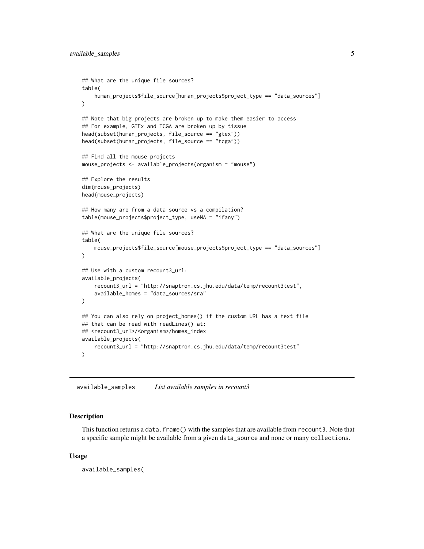```
## What are the unique file sources?
table(
   human_projects$file_source[human_projects$project_type == "data_sources"]
)
## Note that big projects are broken up to make them easier to access
## For example, GTEx and TCGA are broken up by tissue
head(subset(human_projects, file_source == "gtex"))
head(subset(human_projects, file_source == "tcga"))
## Find all the mouse projects
mouse_projects <- available_projects(organism = "mouse")
## Explore the results
dim(mouse_projects)
head(mouse_projects)
## How many are from a data source vs a compilation?
table(mouse_projects$project_type, useNA = "ifany")
## What are the unique file sources?
table(
    mouse_projects$file_source[mouse_projects$project_type == "data_sources"]
)
## Use with a custom recount3_url:
available_projects(
   recount3_url = "http://snaptron.cs.jhu.edu/data/temp/recount3test",
    available_homes = "data_sources/sra"
\lambda## You can also rely on project_homes() if the custom URL has a text file
## that can be read with readLines() at:
## <recount3_url>/<organism>/homes_index
available_projects(
    recount3_url = "http://snaptron.cs.jhu.edu/data/temp/recount3test"
)
```
available\_samples *List available samples in recount3*

#### Description

This function returns a data.frame() with the samples that are available from recount3. Note that a specific sample might be available from a given data\_source and none or many collections.

#### Usage

available\_samples(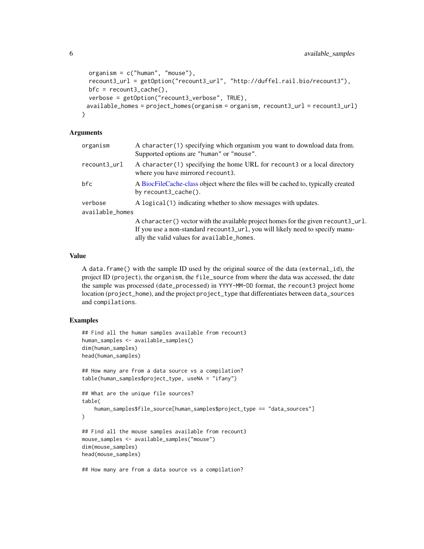```
organism = c("human", "mouse"),
recount3_url = getOption("recount3_url", "http://duffel.rail.bio/recount3"),
bfc = recount3_cache(),
verbose = getOption("recount3_verbose", TRUE),
available_homes = project_homes(organism = organism, recount3_url = recount3_url)
```
#### Arguments

)

| organism        | A character(1) specifying which organism you want to download data from.<br>Supported options are "human" or "mouse". |
|-----------------|-----------------------------------------------------------------------------------------------------------------------|
| recount3_url    | A character(1) specifying the home URL for recount 3 or a local directory<br>where you have mirrored recount3.        |
| bfc             | A BiocFileCache-class object where the files will be cached to, typically created<br>by recount3_cache().             |
| verbose         | A logical (1) indicating whether to show messages with updates.                                                       |
| available_homes |                                                                                                                       |
|                 | A character () vector with the available project homes for the given recount 3_url.                                   |
|                 | If you use a non-standard recount 3_url, you will likely need to specify manu-                                        |
|                 | ally the valid values for available homes.                                                                            |

## Value

A data.frame() with the sample ID used by the original source of the data (external\_id), the project ID (project), the organism, the file\_source from where the data was accessed, the date the sample was processed (date\_processed) in YYYY-MM-DD format, the recount3 project home location (project\_home), and the project project\_type that differentiates between data\_sources and compilations.

```
## Find all the human samples available from recount3
human_samples <- available_samples()
dim(human_samples)
head(human_samples)
## How many are from a data source vs a compilation?
table(human_samples$project_type, useNA = "ifany")
## What are the unique file sources?
table(
   human_samples$file_source[human_samples$project_type == "data_sources"]
)
## Find all the mouse samples available from recount3
mouse_samples <- available_samples("mouse")
dim(mouse_samples)
head(mouse_samples)
## How many are from a data source vs a compilation?
```
<span id="page-5-0"></span>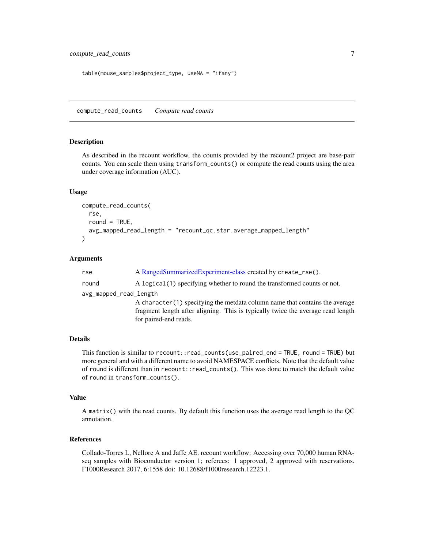```
table(mouse_samples$project_type, useNA = "ifany")
```
<span id="page-6-1"></span>compute\_read\_counts *Compute read counts*

#### Description

As described in the recount workflow, the counts provided by the recount2 project are base-pair counts. You can scale them using transform\_counts() or compute the read counts using the area under coverage information (AUC).

#### Usage

```
compute_read_counts(
  rse,
  round = TRUE,
  avg_mapped_read_length = "recount_qc.star.average_mapped_length"
)
```
## Arguments

| rse                    | A RangedSummarizedExperiment-class created by create_rse().                     |
|------------------------|---------------------------------------------------------------------------------|
| round                  | A logical (1) specifying whether to round the transformed counts or not.        |
| avg_mapped_read_length |                                                                                 |
|                        | A character (1) specifying the metdata column name that contains the average    |
|                        | fragment length after aligning. This is typically twice the average read length |
|                        | for paired-end reads.                                                           |

## Details

This function is similar to recount::read\_counts(use\_paired\_end = TRUE, round = TRUE) but more general and with a different name to avoid NAMESPACE conflicts. Note that the default value of round is different than in recount::read\_counts(). This was done to match the default value of round in transform\_counts().

#### Value

A matrix() with the read counts. By default this function uses the average read length to the QC annotation.

#### References

Collado-Torres L, Nellore A and Jaffe AE. recount workflow: Accessing over 70,000 human RNAseq samples with Bioconductor version 1; referees: 1 approved, 2 approved with reservations. F1000Research 2017, 6:1558 doi: 10.12688/f1000research.12223.1.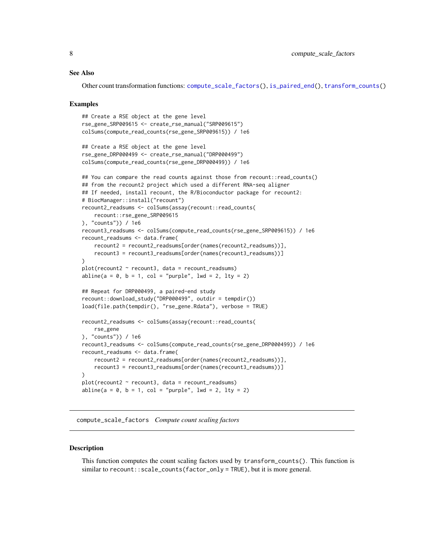#### <span id="page-7-0"></span>See Also

Other count transformation functions: [compute\\_scale\\_factors\(](#page-7-1)), [is\\_paired\\_end\(](#page-19-1)), [transform\\_counts\(](#page-30-1))

#### Examples

```
## Create a RSE object at the gene level
rse_gene_SRP009615 <- create_rse_manual("SRP009615")
colSums(compute_read_counts(rse_gene_SRP009615)) / 1e6
## Create a RSE object at the gene level
rse_gene_DRP000499 <- create_rse_manual("DRP000499")
colSums(compute_read_counts(rse_gene_DRP000499)) / 1e6
## You can compare the read counts against those from recount:: read_counts()
## from the recount2 project which used a different RNA-seq aligner
## If needed, install recount, the R/Bioconductor package for recount2:
# BiocManager::install("recount")
recount2_readsums <- colSums(assay(recount::read_counts(
    recount::rse_gene_SRP009615
), "counts")) / 1e6
recount3_readsums <- colSums(compute_read_counts(rse_gene_SRP009615)) / 1e6
recount_readsums <- data.frame(
    recount2 = recount2_readsums[order(names(recount2_readsums))],
   recount3 = recount3_readsums[order(names(recount3_readsums))]
)
plot(recount2 ~ recount3, data = recount_readsums)abline(a = 0, b = 1, col = "purple", lwd = 2, lty = 2)## Repeat for DRP000499, a paired-end study
recount::download_study("DRP000499", outdir = tempdir())
load(file.path(tempdir(), "rse_gene.Rdata"), verbose = TRUE)
recount2_readsums <- colSums(assay(recount::read_counts(
   rse_gene
), "counts")) / 1e6
recount3_readsums <- colSums(compute_read_counts(rse_gene_DRP000499)) / 1e6
recount_readsums <- data.frame(
   recount2 = recount2_readsums[order(names(recount2_readsums))],
   recount3 = recount3_readsums[order(names(recount3_readsums))]
)
plot(recount2 ~ recount3, data = recount_readsums)abline(a = 0, b = 1, col = "purple", lwd = 2, lty = 2)
```
<span id="page-7-1"></span>compute\_scale\_factors *Compute count scaling factors*

#### **Description**

This function computes the count scaling factors used by transform\_counts(). This function is similar to recount::scale\_counts(factor\_only = TRUE), but it is more general.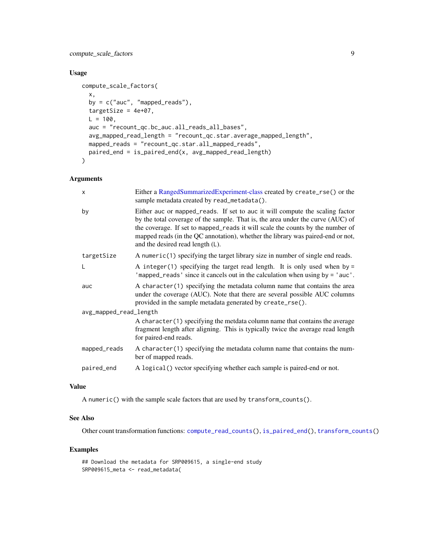<span id="page-8-0"></span>compute\_scale\_factors 9

## Usage

```
compute_scale_factors(
  x,
 by = c("auc", "mapped_reads"),
  targetSize = 4e+07,
 L = 100,
  auc = "recount_qc.bc_auc.all_reads_all_bases",
  avg_mapped_read_length = "recount_qc.star.average_mapped_length",
 mapped_reads = "recount_qc.star.all_mapped_reads",
 paired_end = is_paired_end(x, avg_mapped_read_length)
\overline{\phantom{a}}
```
## Arguments

| $\mathsf{x}$           | Either a RangedSummarizedExperiment-class created by create_rse() or the<br>sample metadata created by read_metadata().                                                                                                                                                                                                                                                     |
|------------------------|-----------------------------------------------------------------------------------------------------------------------------------------------------------------------------------------------------------------------------------------------------------------------------------------------------------------------------------------------------------------------------|
| by                     | Either auc or mapped_reads. If set to auc it will compute the scaling factor<br>by the total coverage of the sample. That is, the area under the curve (AUC) of<br>the coverage. If set to mapped_reads it will scale the counts by the number of<br>mapped reads (in the QC annotation), whether the library was paired-end or not,<br>and the desired read length $(L)$ . |
| targetSize             | A numeric(1) specifying the target library size in number of single end reads.                                                                                                                                                                                                                                                                                              |
| L                      | A integer(1) specifying the target read length. It is only used when by $=$<br>'mapped_reads' since it cancels out in the calculation when using by = 'auc'.                                                                                                                                                                                                                |
| auc                    | A character (1) specifying the metadata column name that contains the area<br>under the coverage (AUC). Note that there are several possible AUC columns<br>provided in the sample metadata generated by create_rse().                                                                                                                                                      |
| avg_mapped_read_length |                                                                                                                                                                                                                                                                                                                                                                             |
|                        | A character (1) specifying the metdata column name that contains the average<br>fragment length after aligning. This is typically twice the average read length<br>for paired-end reads.                                                                                                                                                                                    |
| mapped_reads           | A character (1) specifying the metadata column name that contains the num-<br>ber of mapped reads.                                                                                                                                                                                                                                                                          |
| paired_end             | A logical () vector specifying whether each sample is paired-end or not.                                                                                                                                                                                                                                                                                                    |

## Value

A numeric() with the sample scale factors that are used by transform\_counts().

## See Also

Other count transformation functions: [compute\\_read\\_counts\(](#page-6-1)), [is\\_paired\\_end\(](#page-19-1)), [transform\\_counts\(](#page-30-1))

```
## Download the metadata for SRP009615, a single-end study
SRP009615_meta <- read_metadata(
```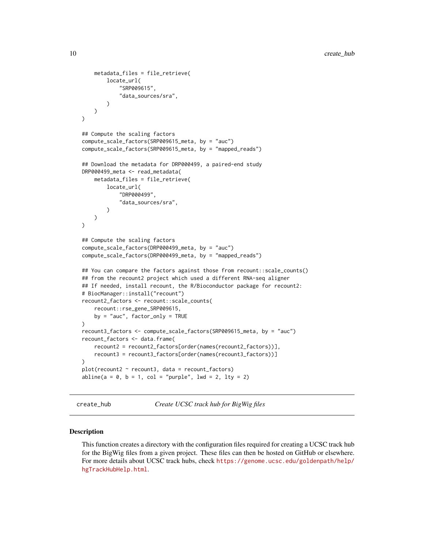```
metadata_files = file_retrieve(
        locate_url(
            "SRP009615",
            "data_sources/sra",
        )
   )
)
## Compute the scaling factors
compute_scale_factors(SRP009615_meta, by = "auc")
compute_scale_factors(SRP009615_meta, by = "mapped_reads")
## Download the metadata for DRP000499, a paired-end study
DRP000499_meta <- read_metadata(
    metadata_files = file_retrieve(
        locate_url(
            "DRP000499",
            "data_sources/sra",
        \lambda)
)
## Compute the scaling factors
compute_scale_factors(DRP000499_meta, by = "auc")
compute_scale_factors(DRP000499_meta, by = "mapped_reads")
## You can compare the factors against those from recount::scale_counts()
## from the recount2 project which used a different RNA-seq aligner
## If needed, install recount, the R/Bioconductor package for recount2:
# BiocManager::install("recount")
recount2_factors <- recount::scale_counts(
   recount::rse_gene_SRP009615,
   by = "auc", factor_only = TRUE
\lambdarecount3_factors <- compute_scale_factors(SRP009615_meta, by = "auc")
recount_factors <- data.frame(
    recount2 = recount2_factors[order(names(recount2_factors))],
   recount3 = recount3_factors[order(names(recount3_factors))]
)
plot(recount2 ~ recount3, data = recount_factors)abline(a = 0, b = 1, col = "purple", lwd = 2, lty = 2)
```
create\_hub *Create UCSC track hub for BigWig files*

#### Description

This function creates a directory with the configuration files required for creating a UCSC track hub for the BigWig files from a given project. These files can then be hosted on GitHub or elsewhere. For more details about UCSC track hubs, check [https://genome.ucsc.edu/goldenpath/help/](https://genome.ucsc.edu/goldenpath/help/hgTrackHubHelp.html) [hgTrackHubHelp.html](https://genome.ucsc.edu/goldenpath/help/hgTrackHubHelp.html).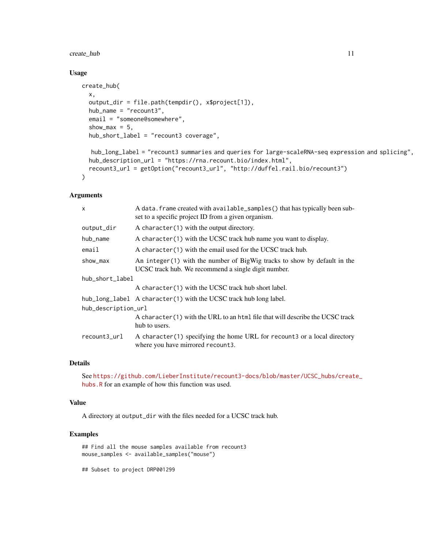## create\_hub 11

#### Usage

```
create_hub(
  x,
  output_dir = file.path(tempdir(), x$project[1]),
  hub_name = "recount3",
  email = "someone@somewhere",
  show_max = 5,
  hub_short_label = "recount3 coverage",
  hub_long_label = "recount3 summaries and queries for large-scaleRNA-seq expression and splicing",
```

```
hub_description_url = "https://rna.recount.bio/index.html",
  recount3_url = getOption("recount3_url", "http://duffel.rail.bio/recount3")
\mathcal{L}
```
#### Arguments

| $\mathsf{x}$        | A data. frame created with available_samples() that has typically been sub-<br>set to a specific project ID from a given organism. |  |
|---------------------|------------------------------------------------------------------------------------------------------------------------------------|--|
| output_dir          | A character $(1)$ with the output directory.                                                                                       |  |
| hub_name            | A character (1) with the UCSC track hub name you want to display.                                                                  |  |
| email               | A character (1) with the email used for the UCSC track hub.                                                                        |  |
| show_max            | An integer(1) with the number of BigWig tracks to show by default in the<br>UCSC track hub. We recommend a single digit number.    |  |
| hub_short_label     |                                                                                                                                    |  |
|                     | A character (1) with the UCSC track hub short label.                                                                               |  |
|                     | hub_long_label A character(1) with the UCSC track hub long label.                                                                  |  |
| hub_description_url |                                                                                                                                    |  |
|                     | A character(1) with the URL to an html file that will describe the UCSC track<br>hub to users.                                     |  |
| recount3_url        | A character(1) specifying the home URL for recount 3 or a local directory<br>where you have mirrored recount3.                     |  |

#### Details

See [https://github.com/LieberInstitute/recount3-docs/blob/master/UCSC\\_hubs/creat](https://github.com/LieberInstitute/recount3-docs/blob/master/UCSC_hubs/create_hubs.R)e\_ [hubs.R](https://github.com/LieberInstitute/recount3-docs/blob/master/UCSC_hubs/create_hubs.R) for an example of how this function was used.

## Value

A directory at output\_dir with the files needed for a UCSC track hub.

## Examples

```
## Find all the mouse samples available from recount3
mouse_samples <- available_samples("mouse")
```
## Subset to project DRP001299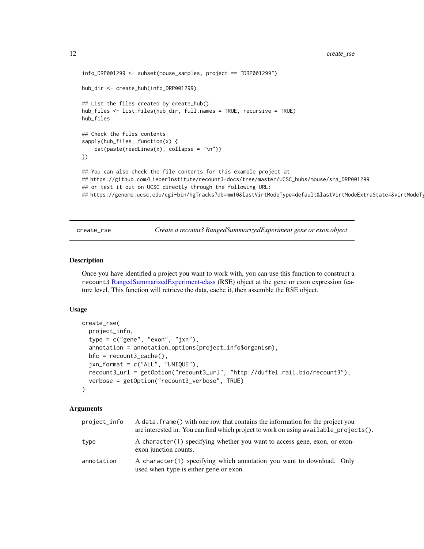```
info_DRP001299 <- subset(mouse_samples, project == "DRP001299")
hub_dir <- create_hub(info_DRP001299)
## List the files created by create_hub()
hub_files <- list.files(hub_dir, full.names = TRUE, recursive = TRUE)
hub_files
## Check the files contents
sapply(hub_files, function(x) {
    cat(paste(readLines(x), collapse = "\\n"))})
## You can also check the file contents for this example project at
## https://github.com/LieberInstitute/recount3-docs/tree/master/UCSC_hubs/mouse/sra_DRP001299
## or test it out on UCSC directly through the following URL:
##https://genome.ucsc.edu/cgi-bin/hgTracks?db=mm10&lastVirtModeType=default&lastVirtModeExtraState=&virtModeTy
```
create\_rse *Create a recount3 RangedSummarizedExperiment gene or exon object*

#### Description

Once you have identified a project you want to work with, you can use this function to construct a recount3 [RangedSummarizedExperiment-class](#page-0-0) (RSE) object at the gene or exon expression feature level. This function will retrieve the data, cache it, then assemble the RSE object.

## Usage

```
create_rse(
  project_info,
  type = c("gene", "exon", "jxn"),
  annotation = annotation_options(project_info$organism),
  bfc = recount3_cache(),
  jxn_format = c("ALL", "UNIQUE"),
  recount3_url = getOption("recount3_url", "http://duffel.rail.bio/recount3"),
  verbose = getOption("recount3_verbose", TRUE)
)
```
## Arguments

| project_info | A data, frame() with one row that contains the information for the project you<br>are interested in. You can find which project to work on using available_projects(). |
|--------------|------------------------------------------------------------------------------------------------------------------------------------------------------------------------|
| type         | A character (1) specifying whether you want to access gene, exon, or exon-<br>exon junction counts.                                                                    |
| annotation   | A character(1) specifying which annotation you want to download. Only<br>used when type is either gene or exon.                                                        |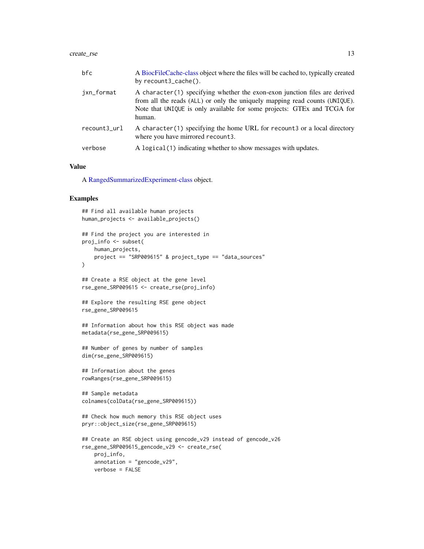#### <span id="page-12-0"></span>create\_rse 13

| bfc          | A BiocFileCache-class object where the files will be cached to, typically created<br>by recount3_cache().                                                                                                                                       |
|--------------|-------------------------------------------------------------------------------------------------------------------------------------------------------------------------------------------------------------------------------------------------|
| jxn_format   | A character (1) specifying whether the exon-exon junction files are derived<br>from all the reads (ALL) or only the uniquely mapping read counts (UNIQUE).<br>Note that UNIQUE is only available for some projects: GTEx and TCGA for<br>human. |
| recount3_url | A character(1) specifying the home URL for recount3 or a local directory<br>where you have mirrored recount 3.                                                                                                                                  |
| verbose      | A logical (1) indicating whether to show messages with updates.                                                                                                                                                                                 |

#### Value

A [RangedSummarizedExperiment-class](#page-0-0) object.

```
## Find all available human projects
human_projects <- available_projects()
## Find the project you are interested in
proj_info <- subset(
   human_projects,
   project == "SRP009615" & project_type == "data_sources"
\mathcal{L}## Create a RSE object at the gene level
rse_gene_SRP009615 <- create_rse(proj_info)
## Explore the resulting RSE gene object
rse_gene_SRP009615
## Information about how this RSE object was made
metadata(rse_gene_SRP009615)
## Number of genes by number of samples
dim(rse_gene_SRP009615)
## Information about the genes
rowRanges(rse_gene_SRP009615)
## Sample metadata
colnames(colData(rse_gene_SRP009615))
## Check how much memory this RSE object uses
pryr::object_size(rse_gene_SRP009615)
## Create an RSE object using gencode_v29 instead of gencode_v26
rse_gene_SRP009615_gencode_v29 <- create_rse(
   proj_info,
   annotation = "gencode_v29",verbose = FALSE
```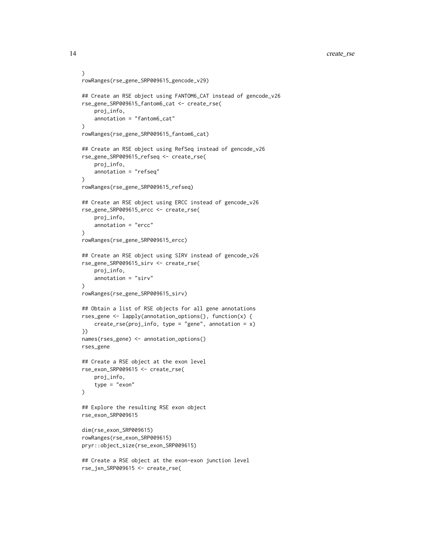14 create\_rse

```
)
rowRanges(rse_gene_SRP009615_gencode_v29)
## Create an RSE object using FANTOM6_CAT instead of gencode_v26
rse_gene_SRP009615_fantom6_cat <- create_rse(
    proj_info,
    annotation = "fantom6_cat"
\mathcal{L}rowRanges(rse_gene_SRP009615_fantom6_cat)
## Create an RSE object using RefSeq instead of gencode_v26
rse_gene_SRP009615_refseq <- create_rse(
    proj_info,
    annotation = "refseq"
)
rowRanges(rse_gene_SRP009615_refseq)
## Create an RSE object using ERCC instead of gencode_v26
rse_gene_SRP009615_ercc <- create_rse(
    proj_info,
    annotation = "ercc"
\lambdarowRanges(rse_gene_SRP009615_ercc)
## Create an RSE object using SIRV instead of gencode_v26
rse_gene_SRP009615_sirv <- create_rse(
    proj_info,
    annotation = "sirv"
\mathcal{L}rowRanges(rse_gene_SRP009615_sirv)
## Obtain a list of RSE objects for all gene annotations
rses_gene <- lapply(annotation_options(), function(x) {
    create_rse(proj_info, type = "gene", annotation = x)
})
names(rses_gene) <- annotation_options()
rses_gene
## Create a RSE object at the exon level
rse_exon_SRP009615 <- create_rse(
    proj_info,
    type = "exon"
\mathcal{L}## Explore the resulting RSE exon object
rse_exon_SRP009615
dim(rse_exon_SRP009615)
rowRanges(rse_exon_SRP009615)
pryr::object_size(rse_exon_SRP009615)
## Create a RSE object at the exon-exon junction level
```
rse\_jxn\_SRP009615 <- create\_rse(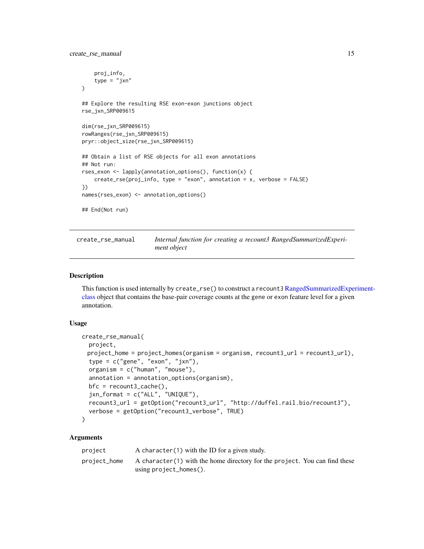```
proj_info,
    type = "jxn"
)
## Explore the resulting RSE exon-exon junctions object
rse_jxn_SRP009615
dim(rse_jxn_SRP009615)
rowRanges(rse_jxn_SRP009615)
pryr::object_size(rse_jxn_SRP009615)
## Obtain a list of RSE objects for all exon annotations
## Not run:
rses_exon <- lapply(annotation_options(), function(x) {
    create_rse(proj_info, type = "exon", annotation = x, verbose = FALSE)
})
names(rses_exon) <- annotation_options()
## End(Not run)
```
<span id="page-14-1"></span>

| create_rse_manual | Internal function for creating a recount3 RangedSummarizedExperi- |
|-------------------|-------------------------------------------------------------------|
|                   | ment object                                                       |

#### Description

This function is used internally by create\_rse() to construct a recount3 [RangedSummarizedExper](#page-0-0)iment[class](#page-0-0) object that contains the base-pair coverage counts at the gene or exon feature level for a given annotation.

## Usage

```
create_rse_manual(
  project,
 project_home = project_homes(organism = organism, recount3_url = recount3_url),
  type = c("gene", "exon", "jxn"),
  organism = c("human", "mouse"),
  annotation = annotation_options(organism),
  bfc = recount3_cache(),
  jxn_format = c("ALL", "UNIQUE"),
  recount3_url = getOption("recount3_url", "http://duffel.rail.bio/recount3"),
  verbose = getOption("recount3_verbose", TRUE)
)
```
## Arguments

| project      | A character (1) with the ID for a given study.                             |
|--------------|----------------------------------------------------------------------------|
| project_home | A character(1) with the home directory for the project. You can find these |
|              | using $project_homes()$ .                                                  |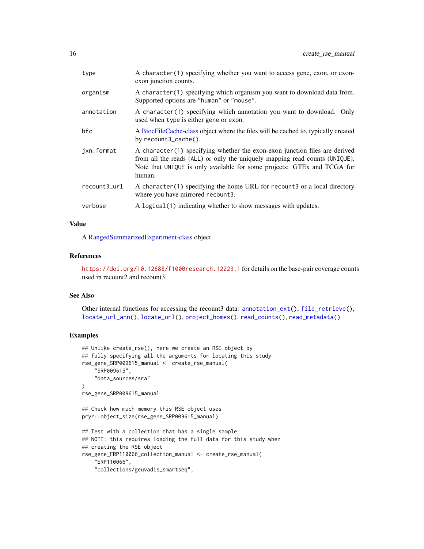<span id="page-15-0"></span>

| type         | A character(1) specifying whether you want to access gene, exon, or exon-<br>exon junction counts.                                                                                                                                              |
|--------------|-------------------------------------------------------------------------------------------------------------------------------------------------------------------------------------------------------------------------------------------------|
| organism     | A character(1) specifying which organism you want to download data from.<br>Supported options are "human" or "mouse".                                                                                                                           |
| annotation   | A character(1) specifying which annotation you want to download. Only<br>used when type is either gene or exon.                                                                                                                                 |
| bfc          | A BiocFileCache-class object where the files will be cached to, typically created<br>by recount3_cache().                                                                                                                                       |
| jxn_format   | A character (1) specifying whether the exon-exon junction files are derived<br>from all the reads (ALL) or only the uniquely mapping read counts (UNIQUE).<br>Note that UNIQUE is only available for some projects: GTEx and TCGA for<br>human. |
| recount3_url | A character(1) specifying the home URL for recount3 or a local directory<br>where you have mirrored recount3.                                                                                                                                   |
| verbose      | A logical (1) indicating whether to show messages with updates.                                                                                                                                                                                 |

## Value

A [RangedSummarizedExperiment-class](#page-0-0) object.

## References

<https://doi.org/10.12688/f1000research.12223.1> for details on the base-pair coverage counts used in recount2 and recount3.

## See Also

Other internal functions for accessing the recount3 data: [annotation\\_ext\(](#page-1-1)), [file\\_retrieve\(](#page-18-1)), [locate\\_url\\_ann\(](#page-22-1)), [locate\\_url\(](#page-20-1)), [project\\_homes\(](#page-23-1)), [read\\_counts\(](#page-24-1)), [read\\_metadata\(](#page-26-1))

```
## Unlike create_rse(), here we create an RSE object by
## fully specifying all the arguments for locating this study
rse_gene_SRP009615_manual <- create_rse_manual(
    "SRP009615",
    "data_sources/sra"
\mathcal{L}rse_gene_SRP009615_manual
## Check how much memory this RSE object uses
pryr::object_size(rse_gene_SRP009615_manual)
## Test with a collection that has a single sample
## NOTE: this requires loading the full data for this study when
## creating the RSE object
rse_gene_ERP110066_collection_manual <- create_rse_manual(
    "ERP110066",
    "collections/geuvadis_smartseq",
```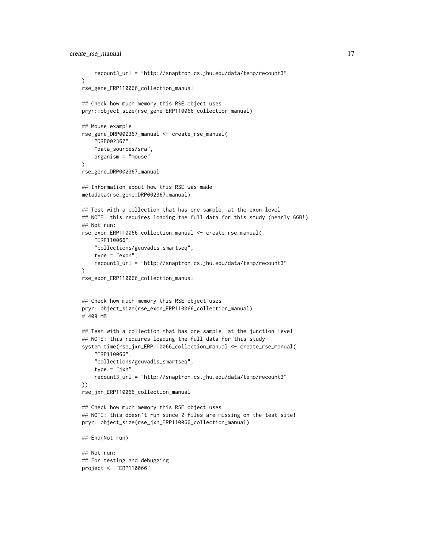```
recount3_url = "http://snaptron.cs.jhu.edu/data/temp/recount3"
\lambdarse_gene_ERP110066_collection_manual
## Check how much memory this RSE object uses
pryr::object_size(rse_gene_ERP110066_collection_manual)
## Mouse example
rse_gene_DRP002367_manual <- create_rse_manual(
    "DRP002367",
    "data_sources/sra",
    organism = "mouse"
)
rse_gene_DRP002367_manual
## Information about how this RSE was made
metadata(rse_gene_DRP002367_manual)
## Test with a collection that has one sample, at the exon level
## NOTE: this requires loading the full data for this study (nearly 6GB!)
## Not run:
rse_exon_ERP110066_collection_manual <- create_rse_manual(
    "ERP110066",
    "collections/geuvadis_smartseq",
    type = "exon",
    recount3_url = "http://snaptron.cs.jhu.edu/data/temp/recount3"
)
rse_exon_ERP110066_collection_manual
## Check how much memory this RSE object uses
pryr::object_size(rse_exon_ERP110066_collection_manual)
# 409 MB
## Test with a collection that has one sample, at the junction level
## NOTE: this requires loading the full data for this study
system.time(rse_jxn_ERP110066_collection_manual <- create_rse_manual(
    "ERP110066",
    "collections/geuvadis_smartseq",
    type = "jxn",
    recount3_url = "http://snaptron.cs.jhu.edu/data/temp/recount3"
))
rse_jxn_ERP110066_collection_manual
## Check how much memory this RSE object uses
## NOTE: this doesn't run since 2 files are missing on the test site!
pryr::object_size(rse_jxn_ERP110066_collection_manual)
## End(Not run)
## Not run:
## For testing and debugging
project <- "ERP110066"
```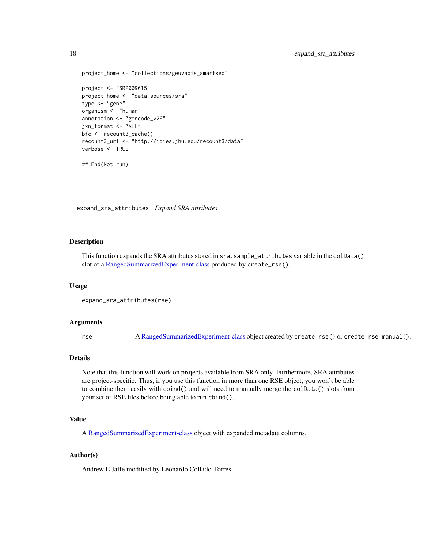```
project_home <- "collections/geuvadis_smartseq"
project <- "SRP009615"
project_home <- "data_sources/sra"
type <- "gene"
organism <- "human"
annotation <- "gencode_v26"
jxn_format <- "ALL"
bfc <- recount3_cache()
recount3_url <- "http://idies.jhu.edu/recount3/data"
verbose <- TRUE
```
## End(Not run)

expand\_sra\_attributes *Expand SRA attributes*

#### Description

This function expands the SRA attributes stored in sra.sample\_attributes variable in the colData() slot of a [RangedSummarizedExperiment-class](#page-0-0) produced by create\_rse().

#### Usage

```
expand_sra_attributes(rse)
```
#### Arguments

rse A [RangedSummarizedExperiment-class](#page-0-0) object created by create\_rse() or create\_rse\_manual().

## Details

Note that this function will work on projects available from SRA only. Furthermore, SRA attributes are project-specific. Thus, if you use this function in more than one RSE object, you won't be able to combine them easily with cbind() and will need to manually merge the colData() slots from your set of RSE files before being able to run cbind().

## Value

A [RangedSummarizedExperiment-class](#page-0-0) object with expanded metadata columns.

#### Author(s)

Andrew E Jaffe modified by Leonardo Collado-Torres.

<span id="page-17-0"></span>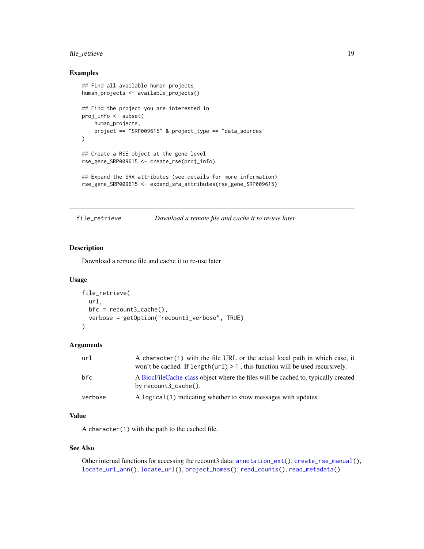## <span id="page-18-0"></span>file\_retrieve 19

#### Examples

```
## Find all available human projects
human_projects <- available_projects()
## Find the project you are interested in
proj_info <- subset(
   human_projects,
   project == "SRP009615" & project_type == "data_sources"
)
## Create a RSE object at the gene level
rse_gene_SRP009615 <- create_rse(proj_info)
## Expand the SRA attributes (see details for more information)
rse_gene_SRP009615 <- expand_sra_attributes(rse_gene_SRP009615)
```
<span id="page-18-1"></span>

file\_retrieve *Download a remote file and cache it to re-use later*

## Description

Download a remote file and cache it to re-use later

#### Usage

```
file_retrieve(
  url,
 bfc = recount3_cache(),
  verbose = getOption("recount3_verbose", TRUE)
)
```
## Arguments

| url     | A character(1) with the file URL or the actual local path in which case, it<br>won't be cached. If $length(url) > 1$ , this function will be used recursively. |
|---------|----------------------------------------------------------------------------------------------------------------------------------------------------------------|
| bfc     | A BiocFileCache-class object where the files will be cached to, typically created<br>by recount3_cache().                                                      |
| verbose | A logical (1) indicating whether to show messages with updates.                                                                                                |

## Value

A character(1) with the path to the cached file.

#### See Also

Other internal functions for accessing the recount3 data: [annotation\\_ext\(](#page-1-1)), [create\\_rse\\_manual\(](#page-14-1)), [locate\\_url\\_ann\(](#page-22-1)), [locate\\_url\(](#page-20-1)), [project\\_homes\(](#page-23-1)), [read\\_counts\(](#page-24-1)), [read\\_metadata\(](#page-26-1))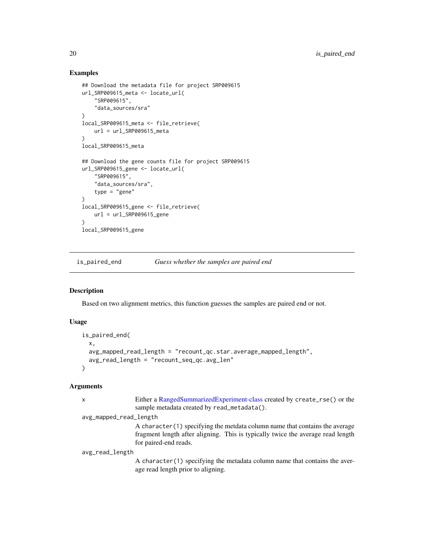## Examples

```
## Download the metadata file for project SRP009615
url_SRP009615_meta <- locate_url(
    "SRP009615",
    "data_sources/sra"
\lambdalocal_SRP009615_meta <- file_retrieve(
    url = url_SRP009615_meta
)
local_SRP009615_meta
## Download the gene counts file for project SRP009615
url_SRP009615_gene <- locate_url(
    "SRP009615",
    "data_sources/sra",
    type = "gene"
)
local_SRP009615_gene <- file_retrieve(
    url = url_SRP009615_gene
\lambdalocal_SRP009615_gene
```
<span id="page-19-1"></span>is\_paired\_end *Guess whether the samples are paired end*

## Description

Based on two alignment metrics, this function guesses the samples are paired end or not.

## Usage

```
is_paired_end(
 x,
 avg_mapped_read_length = "recount_qc.star.average_mapped_length",
 avg_read_length = "recount_seq_qc.avg_len"
\lambda
```
## Arguments

| x                      | Either a RangedSummarizedExperiment-class created by create_rse() or the<br>sample metadata created by read_metadata().                                                                  |
|------------------------|------------------------------------------------------------------------------------------------------------------------------------------------------------------------------------------|
| avg_mapped_read_length |                                                                                                                                                                                          |
|                        | A character (1) specifying the metdata column name that contains the average<br>fragment length after aligning. This is typically twice the average read length<br>for paired-end reads. |
| avg_read_length        |                                                                                                                                                                                          |
|                        | A character (1) specifying the metadata column name that contains the aver-<br>age read length prior to aligning.                                                                        |
|                        |                                                                                                                                                                                          |

<span id="page-19-0"></span>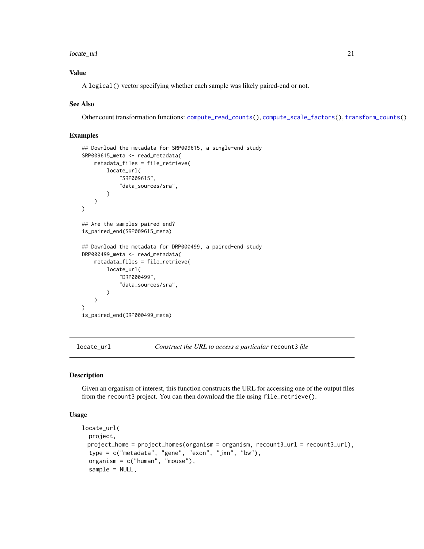#### <span id="page-20-0"></span>locate\_url 21

## Value

A logical() vector specifying whether each sample was likely paired-end or not.

#### See Also

Other count transformation functions: [compute\\_read\\_counts\(](#page-6-1)), [compute\\_scale\\_factors\(](#page-7-1)), [transform\\_counts\(](#page-30-1))

## Examples

```
## Download the metadata for SRP009615, a single-end study
SRP009615_meta <- read_metadata(
   metadata_files = file_retrieve(
        locate_url(
            "SRP009615",
            "data_sources/sra",
        )
   )
)
## Are the samples paired end?
is_paired_end(SRP009615_meta)
## Download the metadata for DRP000499, a paired-end study
DRP000499_meta <- read_metadata(
   metadata_files = file_retrieve(
       locate_url(
            "DRP000499",
            "data_sources/sra",
        )
   )
)
is_paired_end(DRP000499_meta)
```
<span id="page-20-1"></span>

locate\_url *Construct the URL to access a particular* recount3 *file*

#### Description

Given an organism of interest, this function constructs the URL for accessing one of the output files from the recount3 project. You can then download the file using file\_retrieve().

## Usage

```
locate_url(
 project,
 project_home = project_homes(organism = organism, recount3_url = recount3_url),
  type = c("metadata", "gene", "exon", "jxn", "bw"),
 organism = c("human", "mouse"),
  sample = NULL,
```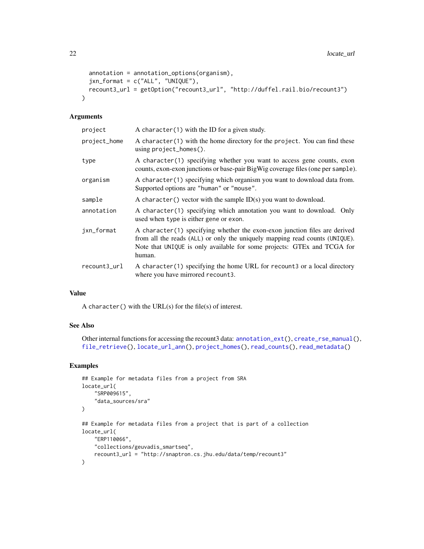```
annotation = annotation_options(organism),
  jxn_format = c("ALL", "UNIQUE"),
  recount3_url = getOption("recount3_url", "http://duffel.rail.bio/recount3")
\lambda
```
## Arguments

| project      | A character $(1)$ with the ID for a given study.                                                                                                                                                                                               |
|--------------|------------------------------------------------------------------------------------------------------------------------------------------------------------------------------------------------------------------------------------------------|
| project_home | A character (1) with the home directory for the project. You can find these<br>using $project_homes()$ .                                                                                                                                       |
| type         | A character(1) specifying whether you want to access gene counts, exon<br>counts, exon-exon junctions or base-pair BigWig coverage files (one per sample).                                                                                     |
| organism     | A character (1) specifying which organism you want to download data from.<br>Supported options are "human" or "mouse".                                                                                                                         |
| sample       | A character () vector with the sample $ID(s)$ you want to download.                                                                                                                                                                            |
| annotation   | A character(1) specifying which annotation you want to download. Only<br>used when type is either gene or exon.                                                                                                                                |
| jxn_format   | A character(1) specifying whether the exon-exon junction files are derived<br>from all the reads (ALL) or only the uniquely mapping read counts (UNIQUE).<br>Note that UNIQUE is only available for some projects: GTEx and TCGA for<br>human. |
| recount3_url | A character(1) specifying the home URL for recount 3 or a local directory<br>where you have mirrored recount3.                                                                                                                                 |

## Value

A character() with the URL(s) for the file(s) of interest.

## See Also

Other internal functions for accessing the recount3 data: [annotation\\_ext\(](#page-1-1)), [create\\_rse\\_manual\(](#page-14-1)), [file\\_retrieve\(](#page-18-1)), [locate\\_url\\_ann\(](#page-22-1)), [project\\_homes\(](#page-23-1)), [read\\_counts\(](#page-24-1)), [read\\_metadata\(](#page-26-1))

```
## Example for metadata files from a project from SRA
locate_url(
    "SRP009615",
    "data_sources/sra"
\mathcal{L}## Example for metadata files from a project that is part of a collection
locate_url(
    "ERP110066",
    "collections/geuvadis_smartseq",
    recount3_url = "http://snaptron.cs.jhu.edu/data/temp/recount3"
\mathcal{L}
```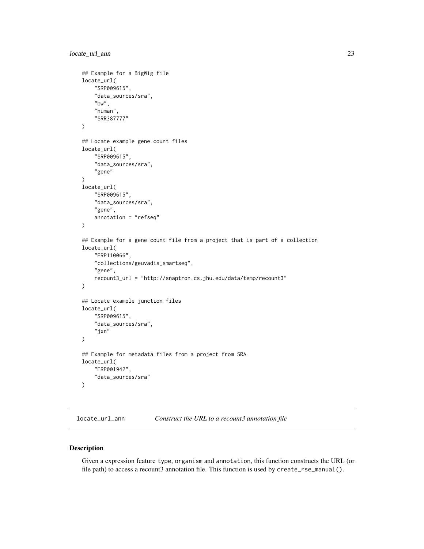```
## Example for a BigWig file
locate_url(
    "SRP009615",
    "data_sources/sra",
    "bw",
    "human",
    "SRR387777"
\mathcal{L}## Locate example gene count files
locate_url(
    "SRP009615",
    "data_sources/sra",
    "gene"
\mathcal{L}locate_url(
    "SRP009615",
    "data_sources/sra",
    "gene",
    annotation = "refseq"
)
## Example for a gene count file from a project that is part of a collection
locate_url(
    "ERP110066",
    "collections/geuvadis_smartseq",
    "gene",
    recount3_url = "http://snaptron.cs.jhu.edu/data/temp/recount3"
)
## Locate example junction files
locate_url(
    "SRP009615",
    "data_sources/sra",
    "jxn"
\mathcal{L}## Example for metadata files from a project from SRA
locate_url(
    "ERP001942",
    "data_sources/sra"
)
```
<span id="page-22-1"></span>locate\_url\_ann *Construct the URL to a recount3 annotation file*

#### Description

Given a expression feature type, organism and annotation, this function constructs the URL (or file path) to access a recount3 annotation file. This function is used by create\_rse\_manual().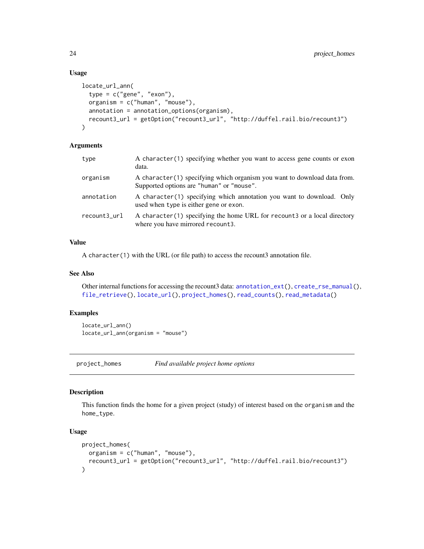## Usage

```
locate_url_ann(
 type = c("gene", "exon"),organism = c("human", "mouse"),
 annotation = annotation_options(organism),
 recount3_url = getOption("recount3_url", "http://duffel.rail.bio/recount3")
)
```
## Arguments

| type         | A character (1) specifying whether you want to access gene counts or exon<br>data.                                    |
|--------------|-----------------------------------------------------------------------------------------------------------------------|
| organism     | A character(1) specifying which organism you want to download data from.<br>Supported options are "human" or "mouse". |
| annotation   | A character(1) specifying which annotation you want to download. Only<br>used when type is either gene or exon.       |
| recount3_url | A character(1) specifying the home URL for recount 3 or a local directory<br>where you have mirrored recount3.        |

## Value

A character(1) with the URL (or file path) to access the recount3 annotation file.

#### See Also

Other internal functions for accessing the recount3 data: [annotation\\_ext\(](#page-1-1)), [create\\_rse\\_manual\(](#page-14-1)), [file\\_retrieve\(](#page-18-1)), [locate\\_url\(](#page-20-1)), [project\\_homes\(](#page-23-1)), [read\\_counts\(](#page-24-1)), [read\\_metadata\(](#page-26-1))

## Examples

locate\_url\_ann() locate\_url\_ann(organism = "mouse")

<span id="page-23-1"></span>project\_homes *Find available project home options*

## Description

This function finds the home for a given project (study) of interest based on the organism and the home\_type.

## Usage

```
project_homes(
 organism = c("human", "mouse"),
  recount3_url = getOption("recount3_url", "http://duffel.rail.bio/recount3")
)
```
<span id="page-23-0"></span>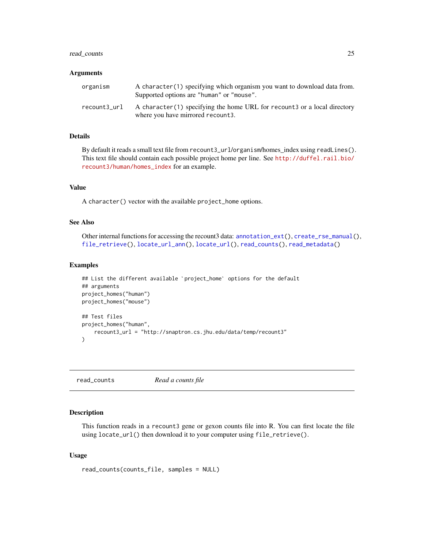## <span id="page-24-0"></span>read\_counts 25

#### Arguments

| organism     | A character(1) specifying which organism you want to download data from.<br>Supported options are "human" or "mouse". |
|--------------|-----------------------------------------------------------------------------------------------------------------------|
| recount3_url | A character(1) specifying the home URL for recount 3 or a local directory<br>where you have mirrored recount 3.       |

## Details

By default it reads a small text file from recount3\_url/organism/homes\_index using readLines(). This text file should contain each possible project home per line. See [http://duffel.rail.bio/](http://duffel.rail.bio/recount3/human/homes_index) [recount3/human/homes\\_index](http://duffel.rail.bio/recount3/human/homes_index) for an example.

## Value

A character() vector with the available project\_home options.

## See Also

Other internal functions for accessing the recount3 data: [annotation\\_ext\(](#page-1-1)), [create\\_rse\\_manual\(](#page-14-1)), [file\\_retrieve\(](#page-18-1)), [locate\\_url\\_ann\(](#page-22-1)), [locate\\_url\(](#page-20-1)), [read\\_counts\(](#page-24-1)), [read\\_metadata\(](#page-26-1))

#### Examples

```
## List the different available `project_home` options for the default
## arguments
project_homes("human")
project_homes("mouse")
## Test files
project_homes("human",
    recount3_url = "http://snaptron.cs.jhu.edu/data/temp/recount3"
)
```
<span id="page-24-1"></span>read\_counts *Read a counts file*

## Description

This function reads in a recount3 gene or gexon counts file into R. You can first locate the file using locate\_url() then download it to your computer using file\_retrieve().

#### Usage

```
read_counts(counts_file, samples = NULL)
```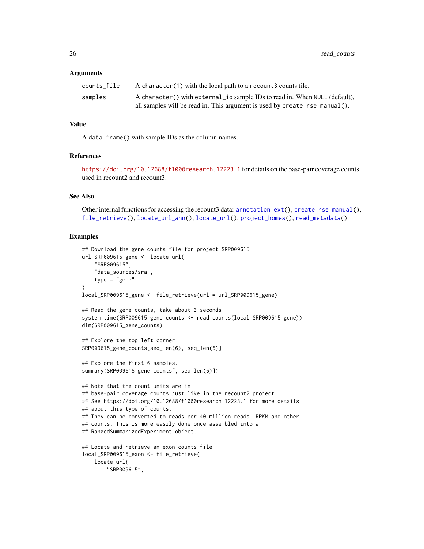#### <span id="page-25-0"></span>Arguments

| counts file | A character (1) with the local path to a recount 3 counts file.            |
|-------------|----------------------------------------------------------------------------|
| samples     | A character() with external id sample IDs to read in. When NULL (default), |
|             | all samples will be read in. This argument is used by create_rse_manual(). |

#### Value

A data.frame() with sample IDs as the column names.

## References

<https://doi.org/10.12688/f1000research.12223.1> for details on the base-pair coverage counts used in recount2 and recount3.

## See Also

Other internal functions for accessing the recount3 data: [annotation\\_ext\(](#page-1-1)), [create\\_rse\\_manual\(](#page-14-1)), [file\\_retrieve\(](#page-18-1)), [locate\\_url\\_ann\(](#page-22-1)), [locate\\_url\(](#page-20-1)), [project\\_homes\(](#page-23-1)), [read\\_metadata\(](#page-26-1))

```
## Download the gene counts file for project SRP009615
url_SRP009615_gene <- locate_url(
    "SRP009615",
    "data_sources/sra",
    type = "gene"
\lambdalocal_SRP009615_gene <- file_retrieve(url = url_SRP009615_gene)
## Read the gene counts, take about 3 seconds
system.time(SRP009615_gene_counts <- read_counts(local_SRP009615_gene))
dim(SRP009615_gene_counts)
## Explore the top left corner
SRP009615_gene_counts[seq_len(6), seq_len(6)]
## Explore the first 6 samples.
summary(SRP009615_gene_counts[, seq_len(6)])
## Note that the count units are in
## base-pair coverage counts just like in the recount2 project.
## See https://doi.org/10.12688/f1000research.12223.1 for more details
## about this type of counts.
## They can be converted to reads per 40 million reads, RPKM and other
## counts. This is more easily done once assembled into a
## RangedSummarizedExperiment object.
## Locate and retrieve an exon counts file
local_SRP009615_exon <- file_retrieve(
   locate_url(
        "SRP009615",
```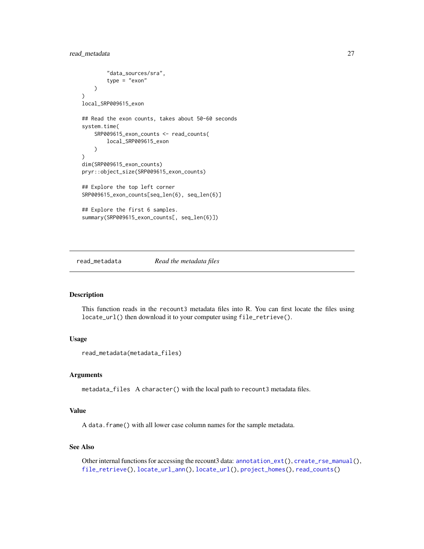## <span id="page-26-0"></span>read\_metadata 27

```
"data_sources/sra",
        type = "exon"
   )
)
local_SRP009615_exon
## Read the exon counts, takes about 50-60 seconds
system.time(
   SRP009615_exon_counts <- read_counts(
        local_SRP009615_exon
    )
)
dim(SRP009615_exon_counts)
pryr::object_size(SRP009615_exon_counts)
## Explore the top left corner
SRP009615_exon_counts[seq_len(6), seq_len(6)]
## Explore the first 6 samples.
summary(SRP009615_exon_counts[, seq_len(6)])
```
<span id="page-26-1"></span>read\_metadata *Read the metadata files*

#### Description

This function reads in the recount3 metadata files into R. You can first locate the files using locate\_url() then download it to your computer using file\_retrieve().

## Usage

```
read_metadata(metadata_files)
```
#### Arguments

metadata\_files A character() with the local path to recount3 metadata files.

## Value

A data.frame() with all lower case column names for the sample metadata.

## See Also

Other internal functions for accessing the recount3 data: [annotation\\_ext\(](#page-1-1)), [create\\_rse\\_manual\(](#page-14-1)), [file\\_retrieve\(](#page-18-1)), [locate\\_url\\_ann\(](#page-22-1)), [locate\\_url\(](#page-20-1)), [project\\_homes\(](#page-23-1)), [read\\_counts\(](#page-24-1))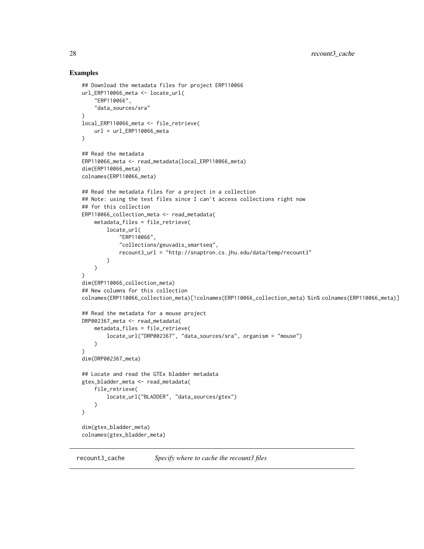```
## Download the metadata files for project ERP110066
url_ERP110066_meta <- locate_url(
    "ERP110066",
    "data_sources/sra"
\lambdalocal_ERP110066_meta <- file_retrieve(
    url = url\_ERP110066 _meta
\lambda## Read the metadata
ERP110066_meta <- read_metadata(local_ERP110066_meta)
dim(ERP110066_meta)
colnames(ERP110066_meta)
## Read the metadata files for a project in a collection
## Note: using the test files since I can't access collections right now
## for this collection
ERP110066_collection_meta <- read_metadata(
    metadata_files = file_retrieve(
        locate_url(
            "ERP110066",
            "collections/geuvadis_smartseq",
            recount3_url = "http://snaptron.cs.jhu.edu/data/temp/recount3"
        )
   )
)
dim(ERP110066_collection_meta)
## New columns for this collection
colnames(ERP110066_collection_meta)[!colnames(ERP110066_collection_meta) %in% colnames(ERP110066_meta)]
## Read the metadata for a mouse project
DRP002367_meta <- read_metadata(
   metadata_files = file_retrieve(
        locate_url("DRP002367", "data_sources/sra", organism = "mouse")
    )
)
dim(DRP002367_meta)
## Locate and read the GTEx bladder metadata
gtex_bladder_meta <- read_metadata(
    file_retrieve(
        locate_url("BLADDER", "data_sources/gtex")
   )
\lambdadim(gtex_bladder_meta)
colnames(gtex_bladder_meta)
```
<span id="page-27-1"></span>

<span id="page-27-0"></span>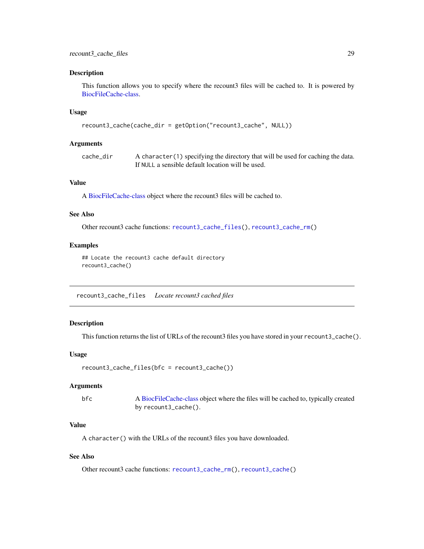#### <span id="page-28-0"></span>Description

This function allows you to specify where the recount3 files will be cached to. It is powered by [BiocFileCache-class.](#page-0-0)

#### Usage

```
recount3_cache(cache_dir = getOption("recount3_cache", NULL))
```
#### Arguments

| cache dir | A character (1) specifying the directory that will be used for caching the data. |
|-----------|----------------------------------------------------------------------------------|
|           | If NULL a sensible default location will be used.                                |

## Value

A [BiocFileCache-class](#page-0-0) object where the recount3 files will be cached to.

#### See Also

Other recount3 cache functions: [recount3\\_cache\\_files\(](#page-28-1)), [recount3\\_cache\\_rm\(](#page-29-1))

#### Examples

## Locate the recount3 cache default directory recount3\_cache()

<span id="page-28-1"></span>recount3\_cache\_files *Locate recount3 cached files*

## Description

This function returns the list of URLs of the recount3 files you have stored in your recount3\_cache().

## Usage

```
recount3_cache_files(bfc = recount3_cache())
```
## Arguments

bfc A [BiocFileCache-class](#page-0-0) object where the files will be cached to, typically created by recount3\_cache().

## Value

A character() with the URLs of the recount3 files you have downloaded.

## See Also

Other recount3 cache functions: [recount3\\_cache\\_rm\(](#page-29-1)), [recount3\\_cache\(](#page-27-1))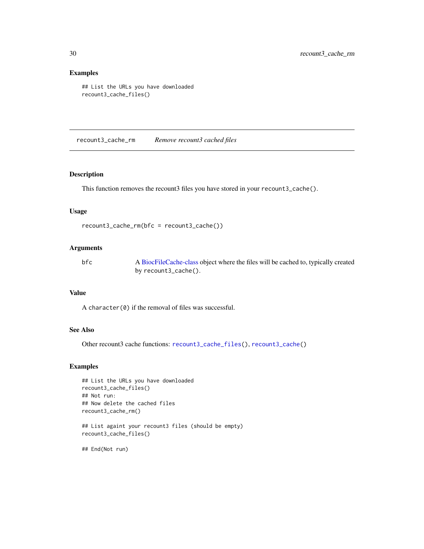## Examples

```
## List the URLs you have downloaded
recount3_cache_files()
```
<span id="page-29-1"></span>recount3\_cache\_rm *Remove recount3 cached files*

#### Description

This function removes the recount3 files you have stored in your recount3\_cache().

## Usage

```
recount3_cache_rm(bfc = recount3_cache())
```
## Arguments

bfc A [BiocFileCache-class](#page-0-0) object where the files will be cached to, typically created by recount3\_cache().

## Value

A character(0) if the removal of files was successful.

## See Also

Other recount3 cache functions: [recount3\\_cache\\_files\(](#page-28-1)), [recount3\\_cache\(](#page-27-1))

## Examples

```
## List the URLs you have downloaded
recount3_cache_files()
## Not run:
## Now delete the cached files
recount3_cache_rm()
## List againt your recount3 files (should be empty)
recount3_cache_files()
```
## End(Not run)

<span id="page-29-0"></span>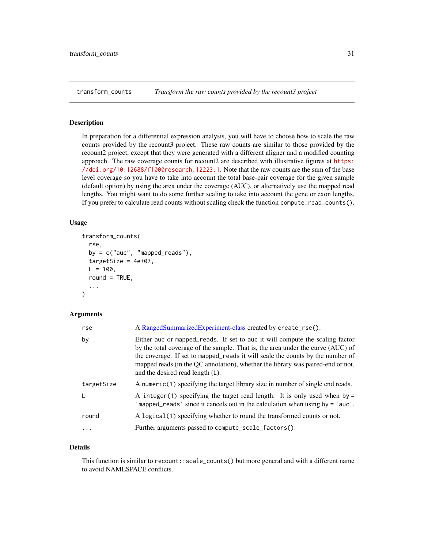<span id="page-30-1"></span><span id="page-30-0"></span>

#### Description

In preparation for a differential expression analysis, you will have to choose how to scale the raw counts provided by the recount3 project. These raw counts are similar to those provided by the recount2 project, except that they were generated with a different aligner and a modified counting approach. The raw coverage counts for recount2 are described with illustrative figures at [https:](https://doi.org/10.12688/f1000research.12223.1) [//doi.org/10.12688/f1000research.12223.1](https://doi.org/10.12688/f1000research.12223.1). Note that the raw counts are the sum of the base level coverage so you have to take into account the total base-pair coverage for the given sample (default option) by using the area under the coverage (AUC), or alternatively use the mapped read lengths. You might want to do some further scaling to take into account the gene or exon lengths. If you prefer to calculate read counts without scaling check the function compute\_read\_counts().

#### Usage

```
transform_counts(
  rse,
  by = c("auc", "mapped_reads"),
  targetSize = 4e+07,
 L = 100.
  round = TRUE,
  ...
)
```
#### Arguments

| rse        | A RangedSummarizedExperiment-class created by create_rse().                                                                                                                                                                                                                                                                                                              |
|------------|--------------------------------------------------------------------------------------------------------------------------------------------------------------------------------------------------------------------------------------------------------------------------------------------------------------------------------------------------------------------------|
| by         | Either auc or mapped_reads. If set to auc it will compute the scaling factor<br>by the total coverage of the sample. That is, the area under the curve (AUC) of<br>the coverage. If set to mapped_reads it will scale the counts by the number of<br>mapped reads (in the QC annotation), whether the library was paired-end or not,<br>and the desired read length (L). |
| targetSize | A numeric(1) specifying the target library size in number of single end reads.                                                                                                                                                                                                                                                                                           |
| L          | A integer (1) specifying the target read length. It is only used when by $=$<br>'mapped_reads' since it cancels out in the calculation when using by = 'auc'.                                                                                                                                                                                                            |
| round      | A logical (1) specifying whether to round the transformed counts or not.                                                                                                                                                                                                                                                                                                 |
| $\cdot$    | Further arguments passed to compute_scale_factors().                                                                                                                                                                                                                                                                                                                     |

## Details

This function is similar to recount::scale\_counts() but more general and with a different name to avoid NAMESPACE conflicts.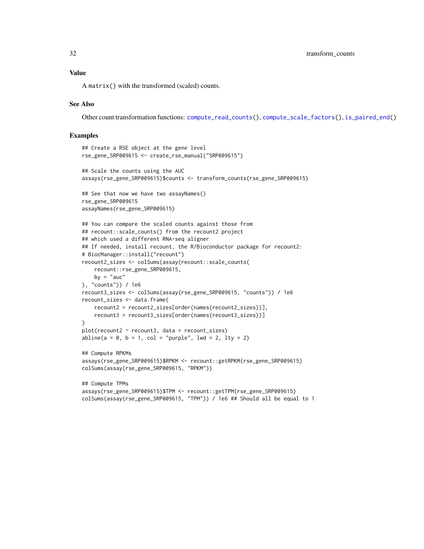#### <span id="page-31-0"></span>Value

A matrix() with the transformed (scaled) counts.

## See Also

Other count transformation functions: [compute\\_read\\_counts\(](#page-6-1)), [compute\\_scale\\_factors\(](#page-7-1)), [is\\_paired\\_end\(](#page-19-1))

```
## Create a RSE object at the gene level
rse_gene_SRP009615 <- create_rse_manual("SRP009615")
## Scale the counts using the AUC
assays(rse_gene_SRP009615)$counts <- transform_counts(rse_gene_SRP009615)
## See that now we have two assayNames()
rse_gene_SRP009615
assayNames(rse_gene_SRP009615)
## You can compare the scaled counts against those from
## recount::scale_counts() from the recount2 project
## which used a different RNA-seq aligner
## If needed, install recount, the R/Bioconductor package for recount2:
# BiocManager::install("recount")
recount2_sizes <- colSums(assay(recount::scale_counts(
    recount::rse_gene_SRP009615,
   by = "auc"), "counts")) / 1e6
recount3_sizes <- colSums(assay(rse_gene_SRP009615, "counts")) / 1e6
recount_sizes <- data.frame(
   recount2 = recount2_sizes[order(names(recount2_sizes))],
   recount3 = recount3_sizes[order(names(recount3_sizes))]
\lambdaplot(recount2 ~ recount3, data = recount\_sizes)abline(a = 0, b = 1, col = "purple", lwd = 2, lty = 2)## Compute RPKMs
assays(rse_gene_SRP009615)$RPKM <- recount::getRPKM(rse_gene_SRP009615)
colSums(assay(rse_gene_SRP009615, "RPKM"))
## Compute TPMs
assays(rse_gene_SRP009615)$TPM <- recount::getTPM(rse_gene_SRP009615)
colSums(assay(rse_gene_SRP009615, "TPM")) / 1e6 ## Should all be equal to 1
```